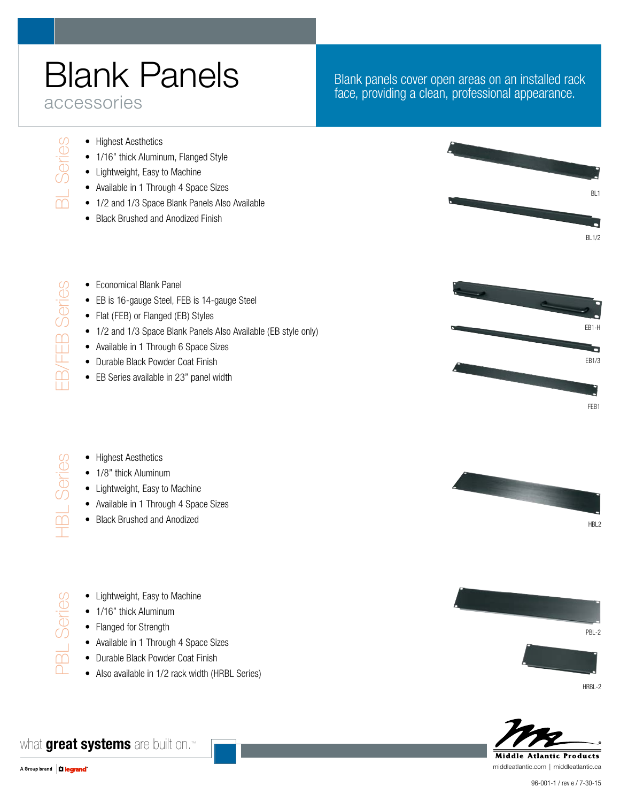# Blank Panels accessories

#### Blank panels cover open areas on an installed rack face, providing a clean, professional appearance.

• Highest Aesthetics

BL Series

Series

EB/FEB Series

**EB/FEB Series** 

HBL Series

 $\frac{1}{\sqrt{2}}$ 

Series

PBL Series

 $\frac{1}{\sqrt{2}}$ 

Series

- 1/16" thick Aluminum, Flanged Style
- • Lightweight, Easy to Machine
- Available in 1 Through 4 Space Sizes
- 1/2 and 1/3 Space Blank Panels Also Available
- Black Brushed and Anodized Finish

BL1 BL1/2

- Economical Blank Panel
- EB is 16-gauge Steel, FEB is 14-gauge Steel
- Flat (FEB) or Flanged (EB) Styles
- 1/2 and 1/3 Space Blank Panels Also Available (EB style only)
- Available in 1 Through 6 Space Sizes
- Durable Black Powder Coat Finish
- EB Series available in 23" panel width

EB1-H a EB1/3 FEB1

- Highest Aesthetics • 1/8" thick Aluminum
	- • Lightweight, Easy to Machine
	- Available in 1 Through 4 Space Sizes
	- • Black Brushed and Anodized



- 1/16" thick Aluminum
- Flanged for Strength
- Available in 1 Through 4 Space Sizes
- Durable Black Powder Coat Finish
- Also available in 1/2 rack width (HRBL Series)



PBL-2



HRBL-2



middleatlantic.com | middleatlantic.ca

what **great systems** are built on.™

HRI<sub>2</sub>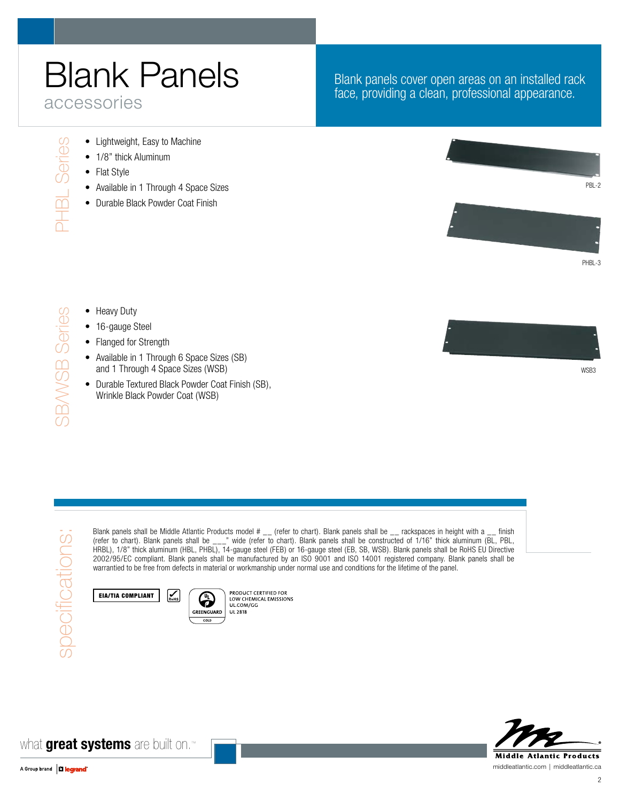## Blank Panels accessories

### Blank panels cover open areas on an installed rack face, providing a clean, professional appearance.

- Lightweight, Easy to Machine
- 1/8" thick Aluminum
- Flat Style

PHBL Series

PHBL Series

SB/WSB Series

**SBAVSB Series** 

- Available in 1 Through 4 Space Sizes
- Durable Black Powder Coat Finish





W<sub>SB3</sub>



#### • 16-gauge Steel

- Flanged for Strength
- Available in 1 Through 6 Space Sizes (SB) and 1 Through 4 Space Sizes (WSB)
- Durable Textured Black Powder Coat Finish (SB), Wrinkle Black Powder Coat (WSB)

 $\sum_{\text{RobIS}}$ 

Blank panels shall be Middle Atlantic Products model # \_\_ (refer to chart). Blank panels shall be \_\_ rackspaces in height with a \_\_ finish (refer to chart). Blank panels shall be \_\_\_" wide (refer to chart). Blank panels shall be constructed of 1/16" thick aluminum (BL, PBL, HRBL), 1/8" thick aluminum (HBL, PHBL), 14-gauge steel (FEB) or 16-gauge steel (EB, SB, WSB). Blank panels shall be RoHS EU Directive 2002/95/EC compliant. Blank panels shall be manufactured by an ISO 9001 and ISO 14001 registered company. Blank panels shall be warrantied to be free from defects in material or workmanship under normal use and conditions for the lifetime of the panel.

EIA/TIA Compliant



**Middle Atlantic Products** 

middleatlantic.com | middleatlantic.ca

what **great systems** are built on.™



specifications:

specifications: